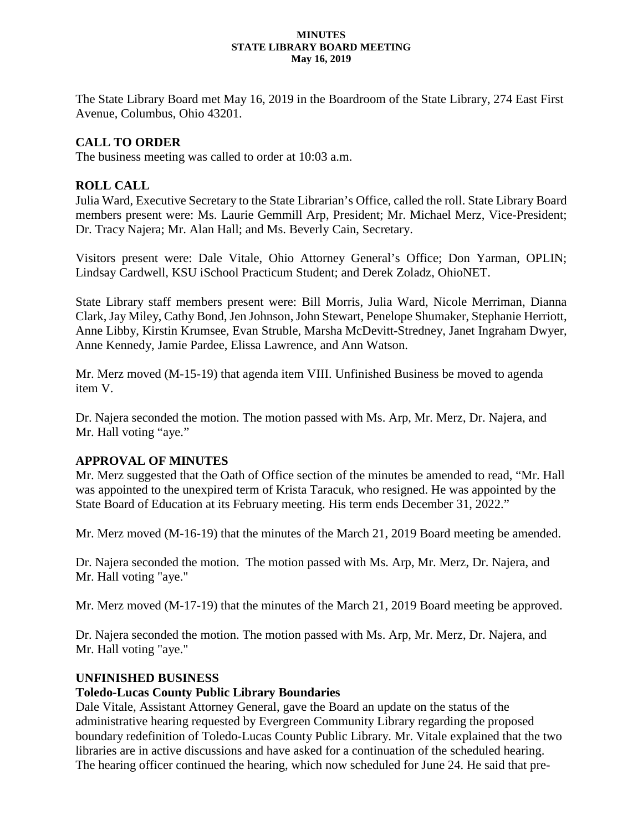#### **MINUTES STATE LIBRARY BOARD MEETING May 16, 2019**

The State Library Board met May 16, 2019 in the Boardroom of the State Library, 274 East First Avenue, Columbus, Ohio 43201.

## **CALL TO ORDER**

The business meeting was called to order at 10:03 a.m.

## **ROLL CALL**

Julia Ward, Executive Secretary to the State Librarian's Office, called the roll. State Library Board members present were: Ms. Laurie Gemmill Arp, President; Mr. Michael Merz, Vice-President; Dr. Tracy Najera; Mr. Alan Hall; and Ms. Beverly Cain, Secretary.

Visitors present were: Dale Vitale, Ohio Attorney General's Office; Don Yarman, OPLIN; Lindsay Cardwell, KSU iSchool Practicum Student; and Derek Zoladz, OhioNET.

State Library staff members present were: Bill Morris, Julia Ward, Nicole Merriman, Dianna Clark, Jay Miley, Cathy Bond, Jen Johnson, John Stewart, Penelope Shumaker, Stephanie Herriott, Anne Libby, Kirstin Krumsee, Evan Struble, Marsha McDevitt-Stredney, Janet Ingraham Dwyer, Anne Kennedy, Jamie Pardee, Elissa Lawrence, and Ann Watson.

Mr. Merz moved (M-15-19) that agenda item VIII. Unfinished Business be moved to agenda item V.

Dr. Najera seconded the motion. The motion passed with Ms. Arp, Mr. Merz, Dr. Najera, and Mr. Hall voting "aye."

## **APPROVAL OF MINUTES**

Mr. Merz suggested that the Oath of Office section of the minutes be amended to read, "Mr. Hall was appointed to the unexpired term of Krista Taracuk, who resigned. He was appointed by the State Board of Education at its February meeting. His term ends December 31, 2022."

Mr. Merz moved (M-16-19) that the minutes of the March 21, 2019 Board meeting be amended.

Dr. Najera seconded the motion. The motion passed with Ms. Arp, Mr. Merz, Dr. Najera, and Mr. Hall voting "aye."

Mr. Merz moved (M-17-19) that the minutes of the March 21, 2019 Board meeting be approved.

Dr. Najera seconded the motion. The motion passed with Ms. Arp, Mr. Merz, Dr. Najera, and Mr. Hall voting "aye."

## **UNFINISHED BUSINESS**

## **Toledo-Lucas County Public Library Boundaries**

Dale Vitale, Assistant Attorney General, gave the Board an update on the status of the administrative hearing requested by Evergreen Community Library regarding the proposed boundary redefinition of Toledo-Lucas County Public Library. Mr. Vitale explained that the two libraries are in active discussions and have asked for a continuation of the scheduled hearing. The hearing officer continued the hearing, which now scheduled for June 24. He said that pre-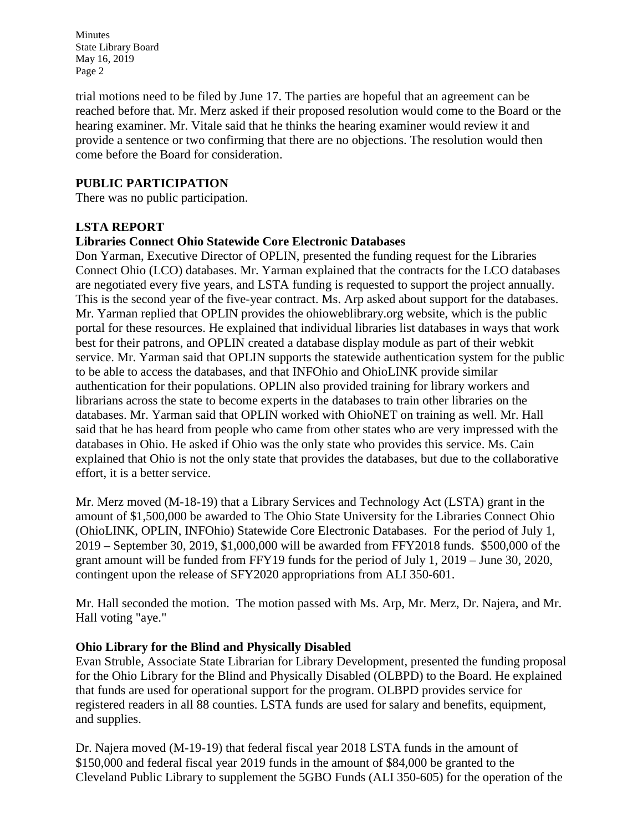trial motions need to be filed by June 17. The parties are hopeful that an agreement can be reached before that. Mr. Merz asked if their proposed resolution would come to the Board or the hearing examiner. Mr. Vitale said that he thinks the hearing examiner would review it and provide a sentence or two confirming that there are no objections. The resolution would then come before the Board for consideration.

### **PUBLIC PARTICIPATION**

There was no public participation.

### **LSTA REPORT**

### **Libraries Connect Ohio Statewide Core Electronic Databases**

Don Yarman, Executive Director of OPLIN, presented the funding request for the Libraries Connect Ohio (LCO) databases. Mr. Yarman explained that the contracts for the LCO databases are negotiated every five years, and LSTA funding is requested to support the project annually. This is the second year of the five-year contract. Ms. Arp asked about support for the databases. Mr. Yarman replied that OPLIN provides the ohioweblibrary.org website, which is the public portal for these resources. He explained that individual libraries list databases in ways that work best for their patrons, and OPLIN created a database display module as part of their webkit service. Mr. Yarman said that OPLIN supports the statewide authentication system for the public to be able to access the databases, and that INFOhio and OhioLINK provide similar authentication for their populations. OPLIN also provided training for library workers and librarians across the state to become experts in the databases to train other libraries on the databases. Mr. Yarman said that OPLIN worked with OhioNET on training as well. Mr. Hall said that he has heard from people who came from other states who are very impressed with the databases in Ohio. He asked if Ohio was the only state who provides this service. Ms. Cain explained that Ohio is not the only state that provides the databases, but due to the collaborative effort, it is a better service.

Mr. Merz moved (M-18-19) that a Library Services and Technology Act (LSTA) grant in the amount of \$1,500,000 be awarded to The Ohio State University for the Libraries Connect Ohio (OhioLINK, OPLIN, INFOhio) Statewide Core Electronic Databases. For the period of July 1, 2019 – September 30, 2019, \$1,000,000 will be awarded from FFY2018 funds. \$500,000 of the grant amount will be funded from FFY19 funds for the period of July 1, 2019 – June 30, 2020, contingent upon the release of SFY2020 appropriations from ALI 350-601.

Mr. Hall seconded the motion. The motion passed with Ms. Arp, Mr. Merz, Dr. Najera, and Mr. Hall voting "aye."

### **Ohio Library for the Blind and Physically Disabled**

Evan Struble, Associate State Librarian for Library Development, presented the funding proposal for the Ohio Library for the Blind and Physically Disabled (OLBPD) to the Board. He explained that funds are used for operational support for the program. OLBPD provides service for registered readers in all 88 counties. LSTA funds are used for salary and benefits, equipment, and supplies.

Dr. Najera moved (M-19-19) that federal fiscal year 2018 LSTA funds in the amount of \$150,000 and federal fiscal year 2019 funds in the amount of \$84,000 be granted to the Cleveland Public Library to supplement the 5GBO Funds (ALI 350-605) for the operation of the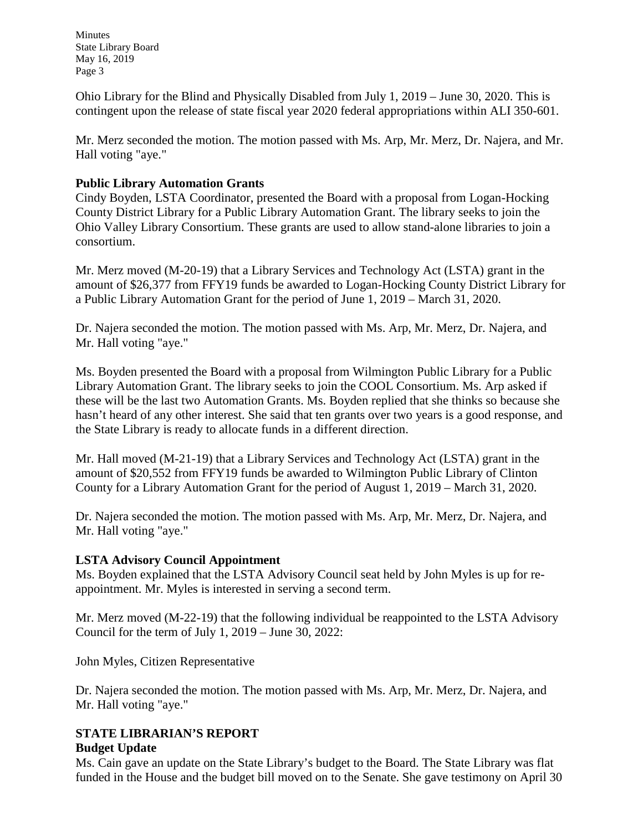Ohio Library for the Blind and Physically Disabled from July 1, 2019 – June 30, 2020. This is contingent upon the release of state fiscal year 2020 federal appropriations within ALI 350-601.

Mr. Merz seconded the motion. The motion passed with Ms. Arp, Mr. Merz, Dr. Najera, and Mr. Hall voting "aye."

### **Public Library Automation Grants**

Cindy Boyden, LSTA Coordinator, presented the Board with a proposal from Logan-Hocking County District Library for a Public Library Automation Grant. The library seeks to join the Ohio Valley Library Consortium. These grants are used to allow stand-alone libraries to join a consortium.

Mr. Merz moved (M-20-19) that a Library Services and Technology Act (LSTA) grant in the amount of \$26,377 from FFY19 funds be awarded to Logan-Hocking County District Library for a Public Library Automation Grant for the period of June 1, 2019 – March 31, 2020.

Dr. Najera seconded the motion. The motion passed with Ms. Arp, Mr. Merz, Dr. Najera, and Mr. Hall voting "aye."

Ms. Boyden presented the Board with a proposal from Wilmington Public Library for a Public Library Automation Grant. The library seeks to join the COOL Consortium. Ms. Arp asked if these will be the last two Automation Grants. Ms. Boyden replied that she thinks so because she hasn't heard of any other interest. She said that ten grants over two years is a good response, and the State Library is ready to allocate funds in a different direction.

Mr. Hall moved (M-21-19) that a Library Services and Technology Act (LSTA) grant in the amount of \$20,552 from FFY19 funds be awarded to Wilmington Public Library of Clinton County for a Library Automation Grant for the period of August 1, 2019 – March 31, 2020.

Dr. Najera seconded the motion. The motion passed with Ms. Arp, Mr. Merz, Dr. Najera, and Mr. Hall voting "aye."

### **LSTA Advisory Council Appointment**

Ms. Boyden explained that the LSTA Advisory Council seat held by John Myles is up for reappointment. Mr. Myles is interested in serving a second term.

Mr. Merz moved (M-22-19) that the following individual be reappointed to the LSTA Advisory Council for the term of July 1, 2019 – June 30, 2022:

John Myles, Citizen Representative

Dr. Najera seconded the motion. The motion passed with Ms. Arp, Mr. Merz, Dr. Najera, and Mr. Hall voting "aye."

# **STATE LIBRARIAN'S REPORT**

## **Budget Update**

Ms. Cain gave an update on the State Library's budget to the Board. The State Library was flat funded in the House and the budget bill moved on to the Senate. She gave testimony on April 30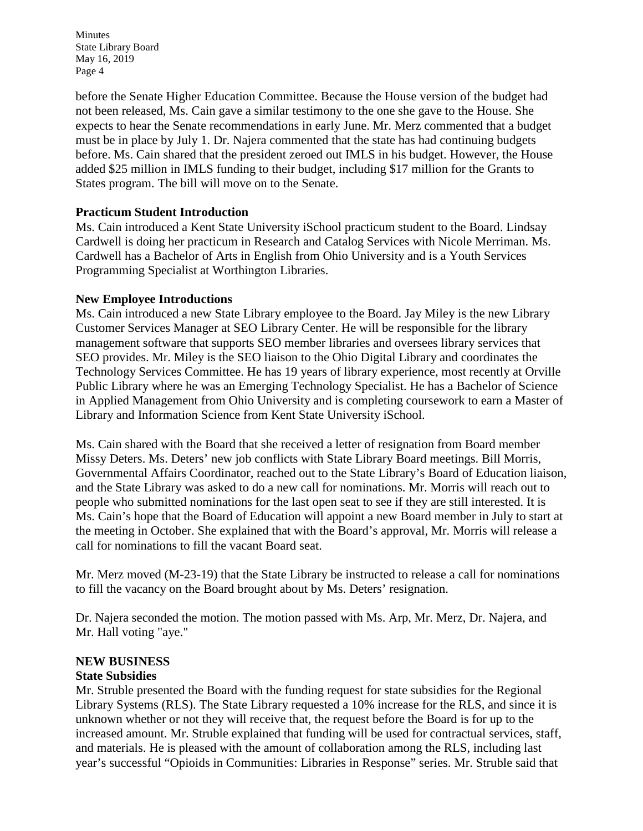before the Senate Higher Education Committee. Because the House version of the budget had not been released, Ms. Cain gave a similar testimony to the one she gave to the House. She expects to hear the Senate recommendations in early June. Mr. Merz commented that a budget must be in place by July 1. Dr. Najera commented that the state has had continuing budgets before. Ms. Cain shared that the president zeroed out IMLS in his budget. However, the House added \$25 million in IMLS funding to their budget, including \$17 million for the Grants to States program. The bill will move on to the Senate.

### **Practicum Student Introduction**

Ms. Cain introduced a Kent State University iSchool practicum student to the Board. Lindsay Cardwell is doing her practicum in Research and Catalog Services with Nicole Merriman. Ms. Cardwell has a Bachelor of Arts in English from Ohio University and is a Youth Services Programming Specialist at Worthington Libraries.

### **New Employee Introductions**

Ms. Cain introduced a new State Library employee to the Board. Jay Miley is the new Library Customer Services Manager at SEO Library Center. He will be responsible for the library management software that supports SEO member libraries and oversees library services that SEO provides. Mr. Miley is the SEO liaison to the Ohio Digital Library and coordinates the Technology Services Committee. He has 19 years of library experience, most recently at Orville Public Library where he was an Emerging Technology Specialist. He has a Bachelor of Science in Applied Management from Ohio University and is completing coursework to earn a Master of Library and Information Science from Kent State University iSchool.

Ms. Cain shared with the Board that she received a letter of resignation from Board member Missy Deters. Ms. Deters' new job conflicts with State Library Board meetings. Bill Morris, Governmental Affairs Coordinator, reached out to the State Library's Board of Education liaison, and the State Library was asked to do a new call for nominations. Mr. Morris will reach out to people who submitted nominations for the last open seat to see if they are still interested. It is Ms. Cain's hope that the Board of Education will appoint a new Board member in July to start at the meeting in October. She explained that with the Board's approval, Mr. Morris will release a call for nominations to fill the vacant Board seat.

Mr. Merz moved (M-23-19) that the State Library be instructed to release a call for nominations to fill the vacancy on the Board brought about by Ms. Deters' resignation.

Dr. Najera seconded the motion. The motion passed with Ms. Arp, Mr. Merz, Dr. Najera, and Mr. Hall voting "aye."

## **NEW BUSINESS**

### **State Subsidies**

Mr. Struble presented the Board with the funding request for state subsidies for the Regional Library Systems (RLS). The State Library requested a 10% increase for the RLS, and since it is unknown whether or not they will receive that, the request before the Board is for up to the increased amount. Mr. Struble explained that funding will be used for contractual services, staff, and materials. He is pleased with the amount of collaboration among the RLS, including last year's successful "Opioids in Communities: Libraries in Response" series. Mr. Struble said that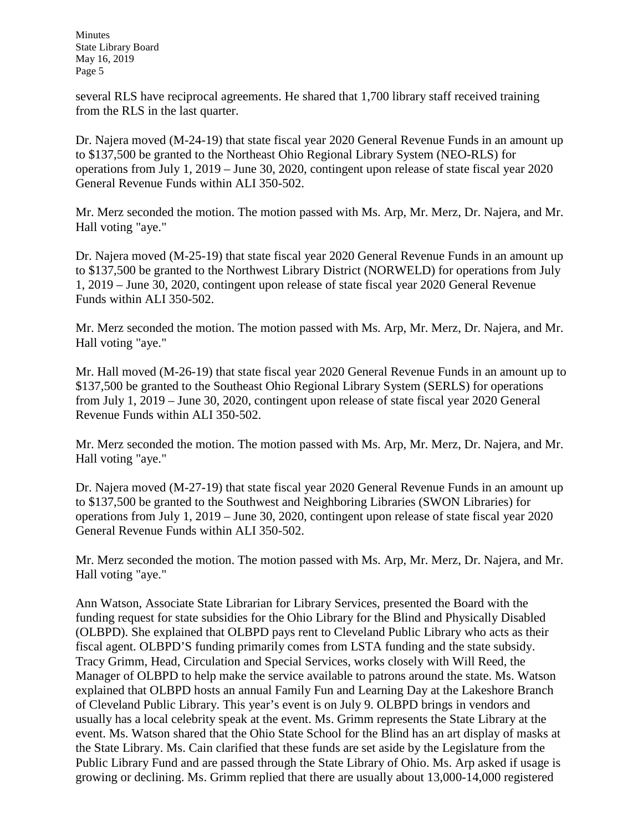several RLS have reciprocal agreements. He shared that 1,700 library staff received training from the RLS in the last quarter.

Dr. Najera moved (M-24-19) that state fiscal year 2020 General Revenue Funds in an amount up to \$137,500 be granted to the Northeast Ohio Regional Library System (NEO-RLS) for operations from July 1, 2019 – June 30, 2020, contingent upon release of state fiscal year 2020 General Revenue Funds within ALI 350-502.

Mr. Merz seconded the motion. The motion passed with Ms. Arp, Mr. Merz, Dr. Najera, and Mr. Hall voting "aye."

Dr. Najera moved (M-25-19) that state fiscal year 2020 General Revenue Funds in an amount up to \$137,500 be granted to the Northwest Library District (NORWELD) for operations from July 1, 2019 – June 30, 2020, contingent upon release of state fiscal year 2020 General Revenue Funds within ALI 350-502.

Mr. Merz seconded the motion. The motion passed with Ms. Arp, Mr. Merz, Dr. Najera, and Mr. Hall voting "aye."

Mr. Hall moved (M-26-19) that state fiscal year 2020 General Revenue Funds in an amount up to \$137,500 be granted to the Southeast Ohio Regional Library System (SERLS) for operations from July 1, 2019 – June 30, 2020, contingent upon release of state fiscal year 2020 General Revenue Funds within ALI 350-502.

Mr. Merz seconded the motion. The motion passed with Ms. Arp, Mr. Merz, Dr. Najera, and Mr. Hall voting "aye."

Dr. Najera moved (M-27-19) that state fiscal year 2020 General Revenue Funds in an amount up to \$137,500 be granted to the Southwest and Neighboring Libraries (SWON Libraries) for operations from July 1, 2019 – June 30, 2020, contingent upon release of state fiscal year 2020 General Revenue Funds within ALI 350-502.

Mr. Merz seconded the motion. The motion passed with Ms. Arp, Mr. Merz, Dr. Najera, and Mr. Hall voting "aye."

Ann Watson, Associate State Librarian for Library Services, presented the Board with the funding request for state subsidies for the Ohio Library for the Blind and Physically Disabled (OLBPD). She explained that OLBPD pays rent to Cleveland Public Library who acts as their fiscal agent. OLBPD'S funding primarily comes from LSTA funding and the state subsidy. Tracy Grimm, Head, Circulation and Special Services, works closely with Will Reed, the Manager of OLBPD to help make the service available to patrons around the state. Ms. Watson explained that OLBPD hosts an annual Family Fun and Learning Day at the Lakeshore Branch of Cleveland Public Library. This year's event is on July 9. OLBPD brings in vendors and usually has a local celebrity speak at the event. Ms. Grimm represents the State Library at the event. Ms. Watson shared that the Ohio State School for the Blind has an art display of masks at the State Library. Ms. Cain clarified that these funds are set aside by the Legislature from the Public Library Fund and are passed through the State Library of Ohio. Ms. Arp asked if usage is growing or declining. Ms. Grimm replied that there are usually about 13,000-14,000 registered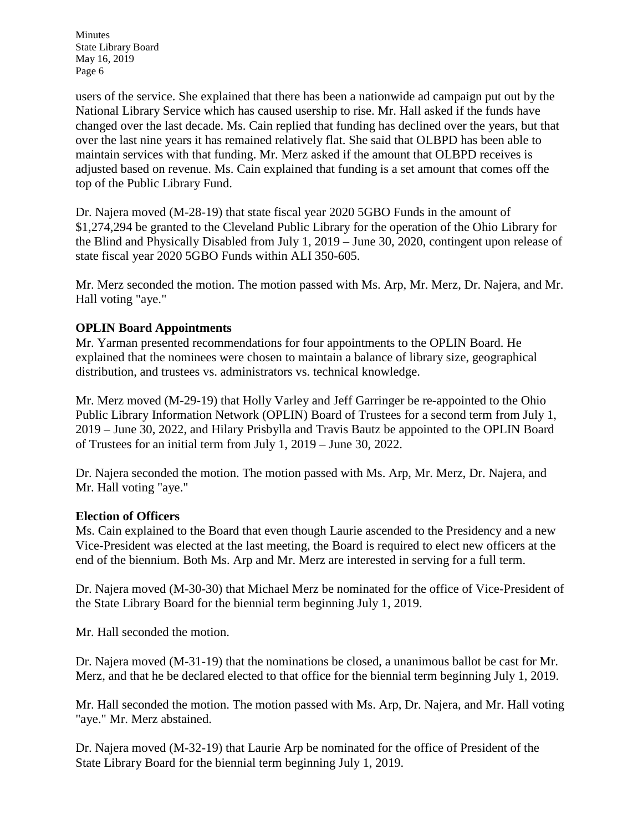users of the service. She explained that there has been a nationwide ad campaign put out by the National Library Service which has caused usership to rise. Mr. Hall asked if the funds have changed over the last decade. Ms. Cain replied that funding has declined over the years, but that over the last nine years it has remained relatively flat. She said that OLBPD has been able to maintain services with that funding. Mr. Merz asked if the amount that OLBPD receives is adjusted based on revenue. Ms. Cain explained that funding is a set amount that comes off the top of the Public Library Fund.

Dr. Najera moved (M-28-19) that state fiscal year 2020 5GBO Funds in the amount of \$1,274,294 be granted to the Cleveland Public Library for the operation of the Ohio Library for the Blind and Physically Disabled from July 1, 2019 – June 30, 2020, contingent upon release of state fiscal year 2020 5GBO Funds within ALI 350-605.

Mr. Merz seconded the motion. The motion passed with Ms. Arp, Mr. Merz, Dr. Najera, and Mr. Hall voting "aye."

### **OPLIN Board Appointments**

Mr. Yarman presented recommendations for four appointments to the OPLIN Board. He explained that the nominees were chosen to maintain a balance of library size, geographical distribution, and trustees vs. administrators vs. technical knowledge.

Mr. Merz moved (M-29-19) that Holly Varley and Jeff Garringer be re-appointed to the Ohio Public Library Information Network (OPLIN) Board of Trustees for a second term from July 1, 2019 – June 30, 2022, and Hilary Prisbylla and Travis Bautz be appointed to the OPLIN Board of Trustees for an initial term from July 1, 2019 – June 30, 2022.

Dr. Najera seconded the motion. The motion passed with Ms. Arp, Mr. Merz, Dr. Najera, and Mr. Hall voting "aye."

### **Election of Officers**

Ms. Cain explained to the Board that even though Laurie ascended to the Presidency and a new Vice-President was elected at the last meeting, the Board is required to elect new officers at the end of the biennium. Both Ms. Arp and Mr. Merz are interested in serving for a full term.

Dr. Najera moved (M-30-30) that Michael Merz be nominated for the office of Vice-President of the State Library Board for the biennial term beginning July 1, 2019.

Mr. Hall seconded the motion.

Dr. Najera moved (M-31-19) that the nominations be closed, a unanimous ballot be cast for Mr. Merz, and that he be declared elected to that office for the biennial term beginning July 1, 2019.

Mr. Hall seconded the motion. The motion passed with Ms. Arp, Dr. Najera, and Mr. Hall voting "aye." Mr. Merz abstained.

Dr. Najera moved (M-32-19) that Laurie Arp be nominated for the office of President of the State Library Board for the biennial term beginning July 1, 2019.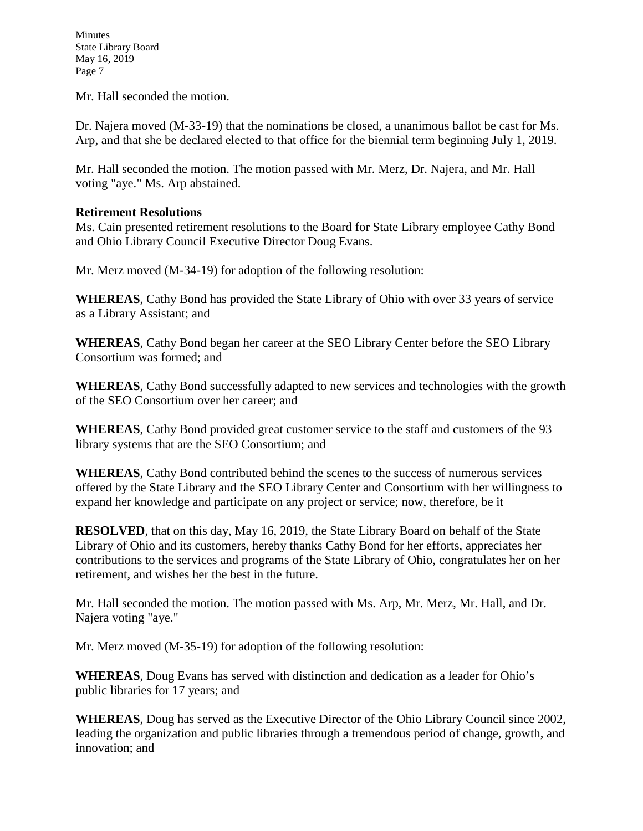Mr. Hall seconded the motion.

Dr. Najera moved (M-33-19) that the nominations be closed, a unanimous ballot be cast for Ms. Arp, and that she be declared elected to that office for the biennial term beginning July 1, 2019.

Mr. Hall seconded the motion. The motion passed with Mr. Merz, Dr. Najera, and Mr. Hall voting "aye." Ms. Arp abstained.

### **Retirement Resolutions**

Ms. Cain presented retirement resolutions to the Board for State Library employee Cathy Bond and Ohio Library Council Executive Director Doug Evans.

Mr. Merz moved (M-34-19) for adoption of the following resolution:

**WHEREAS**, Cathy Bond has provided the State Library of Ohio with over 33 years of service as a Library Assistant; and

**WHEREAS**, Cathy Bond began her career at the SEO Library Center before the SEO Library Consortium was formed; and

**WHEREAS**, Cathy Bond successfully adapted to new services and technologies with the growth of the SEO Consortium over her career; and

**WHEREAS**, Cathy Bond provided great customer service to the staff and customers of the 93 library systems that are the SEO Consortium; and

**WHEREAS**, Cathy Bond contributed behind the scenes to the success of numerous services offered by the State Library and the SEO Library Center and Consortium with her willingness to expand her knowledge and participate on any project or service; now, therefore, be it

**RESOLVED**, that on this day, May 16, 2019, the State Library Board on behalf of the State Library of Ohio and its customers, hereby thanks Cathy Bond for her efforts, appreciates her contributions to the services and programs of the State Library of Ohio, congratulates her on her retirement, and wishes her the best in the future.

Mr. Hall seconded the motion. The motion passed with Ms. Arp, Mr. Merz, Mr. Hall, and Dr. Najera voting "aye."

Mr. Merz moved (M-35-19) for adoption of the following resolution:

**WHEREAS**, Doug Evans has served with distinction and dedication as a leader for Ohio's public libraries for 17 years; and

**WHEREAS**, Doug has served as the Executive Director of the Ohio Library Council since 2002, leading the organization and public libraries through a tremendous period of change, growth, and innovation; and